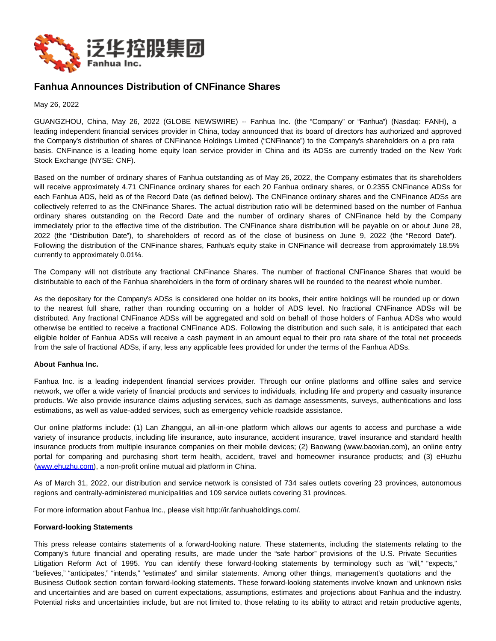

## **Fanhua Announces Distribution of CNFinance Shares**

May 26, 2022

GUANGZHOU, China, May 26, 2022 (GLOBE NEWSWIRE) -- Fanhua Inc. (the "Company" or "Fanhua") (Nasdaq: FANH), a leading independent financial services provider in China, today announced that its board of directors has authorized and approved the Company's distribution of shares of CNFinance Holdings Limited ("CNFinance") to the Company's shareholders on a pro rata basis. CNFinance is a leading home equity loan service provider in China and its ADSs are currently traded on the New York Stock Exchange (NYSE: CNF).

Based on the number of ordinary shares of Fanhua outstanding as of May 26, 2022, the Company estimates that its shareholders will receive approximately 4.71 CNFinance ordinary shares for each 20 Fanhua ordinary shares, or 0.2355 CNFinance ADSs for each Fanhua ADS, held as of the Record Date (as defined below). The CNFinance ordinary shares and the CNFinance ADSs are collectively referred to as the CNFinance Shares. The actual distribution ratio will be determined based on the number of Fanhua ordinary shares outstanding on the Record Date and the number of ordinary shares of CNFinance held by the Company immediately prior to the effective time of the distribution. The CNFinance share distribution will be payable on or about June 28, 2022 (the "Distribution Date"), to shareholders of record as of the close of business on June 9, 2022 (the "Record Date"). Following the distribution of the CNFinance shares, Fanhua's equity stake in CNFinance will decrease from approximately 18.5% currently to approximately 0.01%.

The Company will not distribute any fractional CNFinance Shares. The number of fractional CNFinance Shares that would be distributable to each of the Fanhua shareholders in the form of ordinary shares will be rounded to the nearest whole number.

As the depositary for the Company's ADSs is considered one holder on its books, their entire holdings will be rounded up or down to the nearest full share, rather than rounding occurring on a holder of ADS level. No fractional CNFinance ADSs will be distributed. Any fractional CNFinance ADSs will be aggregated and sold on behalf of those holders of Fanhua ADSs who would otherwise be entitled to receive a fractional CNFinance ADS. Following the distribution and such sale, it is anticipated that each eligible holder of Fanhua ADSs will receive a cash payment in an amount equal to their pro rata share of the total net proceeds from the sale of fractional ADSs, if any, less any applicable fees provided for under the terms of the Fanhua ADSs.

## **About Fanhua Inc.**

Fanhua Inc. is a leading independent financial services provider. Through our online platforms and offline sales and service network, we offer a wide variety of financial products and services to individuals, including life and property and casualty insurance products. We also provide insurance claims adjusting services, such as damage assessments, surveys, authentications and loss estimations, as well as value-added services, such as emergency vehicle roadside assistance.

Our online platforms include: (1) Lan Zhanggui, an all-in-one platform which allows our agents to access and purchase a wide variety of insurance products, including life insurance, auto insurance, accident insurance, travel insurance and standard health insurance products from multiple insurance companies on their mobile devices; (2) Baowang (www.baoxian.com), an online entry portal for comparing and purchasing short term health, accident, travel and homeowner insurance products; and (3) eHuzhu [\(www.ehuzhu.com\)](https://www.globenewswire.com/Tracker?data=dvO5BAtx2UdbukNmUlhkPHLN3i6kIsCaLKmtLHAzNv9WSI-Kz06HQrlCb-o9QV_za7DGLgVmrxSE6dJzWhko_A==), a non-profit online mutual aid platform in China.

As of March 31, 2022, our distribution and service network is consisted of 734 sales outlets covering 23 provinces, autonomous regions and centrally-administered municipalities and 109 service outlets covering 31 provinces.

For more information about Fanhua Inc., please visit http://ir.fanhuaholdings.com/.

## **Forward-looking Statements**

This press release contains statements of a forward-looking nature. These statements, including the statements relating to the Company's future financial and operating results, are made under the "safe harbor" provisions of the U.S. Private Securities Litigation Reform Act of 1995. You can identify these forward-looking statements by terminology such as "will," "expects," "believes," "anticipates," "intends," "estimates" and similar statements. Among other things, management's quotations and the Business Outlook section contain forward-looking statements. These forward-looking statements involve known and unknown risks and uncertainties and are based on current expectations, assumptions, estimates and projections about Fanhua and the industry. Potential risks and uncertainties include, but are not limited to, those relating to its ability to attract and retain productive agents,